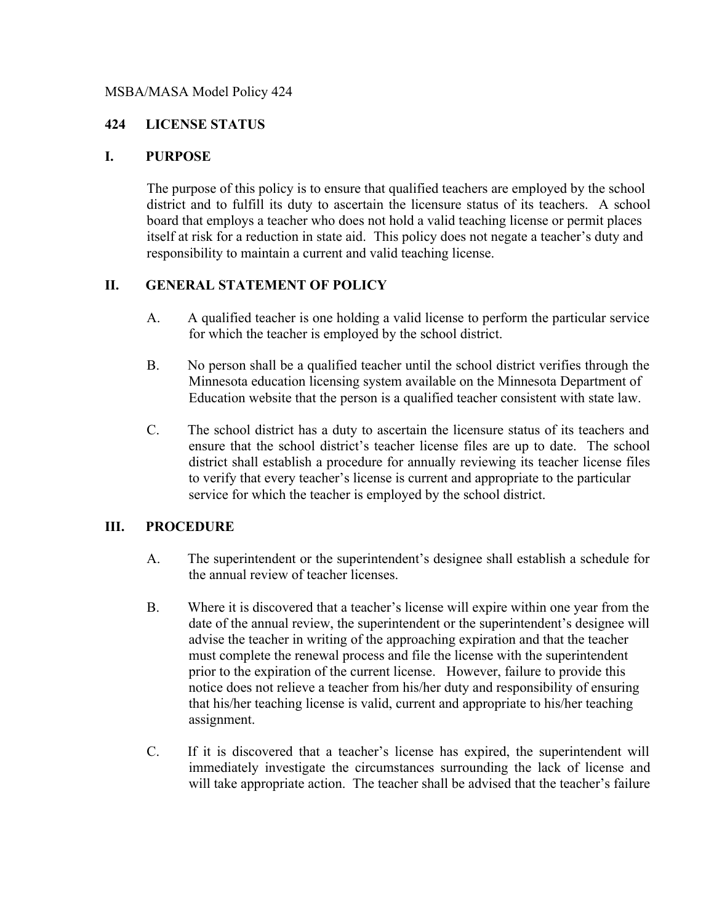### MSBA/MASA Model Policy 424

## **424 LICENSE STATUS**

#### **I. PURPOSE**

The purpose of this policy is to ensure that qualified teachers are employed by the school district and to fulfill its duty to ascertain the licensure status of its teachers. A school board that employs a teacher who does not hold a valid teaching license or permit places itself at risk for a reduction in state aid. This policy does not negate a teacher's duty and responsibility to maintain a current and valid teaching license.

# **II. GENERAL STATEMENT OF POLICY**

- A. A qualified teacher is one holding a valid license to perform the particular service for which the teacher is employed by the school district.
- B. No person shall be a qualified teacher until the school district verifies through the Minnesota education licensing system available on the Minnesota Department of Education website that the person is a qualified teacher consistent with state law.
- C. The school district has a duty to ascertain the licensure status of its teachers and ensure that the school district's teacher license files are up to date. The school district shall establish a procedure for annually reviewing its teacher license files to verify that every teacher's license is current and appropriate to the particular service for which the teacher is employed by the school district.

# **III. PROCEDURE**

- A. The superintendent or the superintendent's designee shall establish a schedule for the annual review of teacher licenses.
- B. Where it is discovered that a teacher's license will expire within one year from the date of the annual review, the superintendent or the superintendent's designee will advise the teacher in writing of the approaching expiration and that the teacher must complete the renewal process and file the license with the superintendent prior to the expiration of the current license. However, failure to provide this notice does not relieve a teacher from his/her duty and responsibility of ensuring that his/her teaching license is valid, current and appropriate to his/her teaching assignment.
- C. If it is discovered that a teacher's license has expired, the superintendent will immediately investigate the circumstances surrounding the lack of license and will take appropriate action. The teacher shall be advised that the teacher's failure